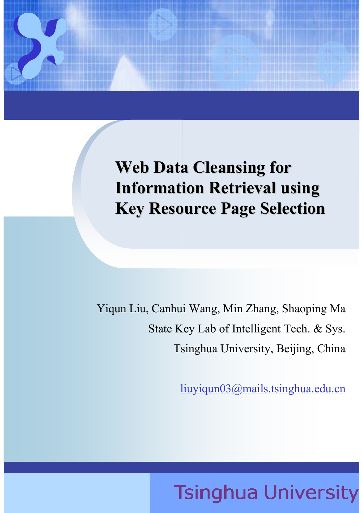### **Web Data Cleansing for Web Data Cleansing for Information Retrieval using Information Retrieval using Key Resource Page Selection Key Resource Page Selection**

Yiqun Liu, Canhui Wang, Min Zhang, Shaoping Ma State Key Lab of Intelligent Tech. & Sys. Tsinghua University, Beijing, China

liuyiqun03@mails.tsinghua.edu.cn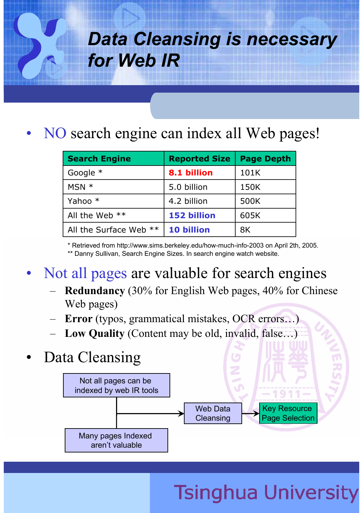### *Data Cleansing is necessary for Web IR*

NO search engine can index all Web pages!

| <b>Search Engine</b>   | <b>Reported Size</b> | <b>Page Depth</b> |
|------------------------|----------------------|-------------------|
| Google $*$             | 8.1 billion          | 101K              |
| $MSN *$                | 5.0 billion          | 150K              |
| Yahoo *                | 4.2 billion          | 500K              |
| All the Web **         | <b>152 billion</b>   | 605K              |
| All the Surface Web ** | <b>10 billion</b>    | 8K                |

\* Retrieved from http://www.sims.berkeley.edu/how-much-info-2003 on April 2th, 2005. \*\* Danny Sullivan, Search Engine Sizes. In search engine watch website.

- Not all pages are valuable for search engines
	- **Redundancy** (30% for English Web pages, 40% for Chinese Web pages)
	- **Error** (typos, grammatical mistakes, OCR errors…)
	- **Low Quality** (Content may be old, invalid, false…)
- Data Cleansing

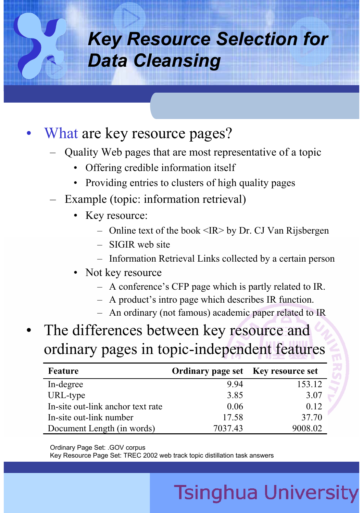### *Key Resource Selection for Data Cleansing*

#### What are key resource pages?

- Quality Web pages that are most representative of a topic
	- Offering credible information itself
	- Providing entries to clusters of high quality pages
- Example (topic: information retrieval)
	- Key resource:
		- Online text of the book  $\leq$ IR $>$  by Dr. CJ Van Rijsbergen
		- SIGIR web site
		- Information Retrieval Links collected by a certain person
	- Not key resource
		- A conference's CFP page which is partly related to IR.
		- A product's intro page which describes IR function.
		- An ordinary (not famous) academic paper related to IR
- The differences between key resource and ordinary pages in topic-independent features

| <b>Feature</b>                    | <b>Ordinary page set</b> Key resource set |         |
|-----------------------------------|-------------------------------------------|---------|
| In-degree                         | 9.94                                      | 153.12  |
| URL-type                          | 3.85                                      | 3.07    |
| In-site out-link anchor text rate | 0.06                                      | 0.12    |
| In-site out-link number           | 17.58                                     | 37.70   |
| Document Length (in words)        | 7037.43                                   | 9008.02 |

Ordinary Page Set: .GOV corpus

Key Resource Page Set: TREC 2002 web track topic distillation task answers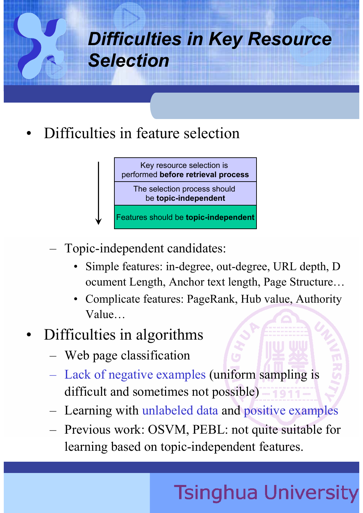# *Difficulties in Key Resource Selection*

• Difficulties in feature selection

Key resource selection is performed **before retrieval process** The selection process should be **topic-independent** Features should be **topic-independent**

- Topic-independent candidates:
	- Simple features: in-degree, out-degree, URL depth, D ocument Length, Anchor text length, Page Structure…
	- Complicate features: PageRank, Hub value, Authority Value…

### • Difficulties in algorithms

- Web page classification
- Lack of negative examples (uniform sampling is difficult and sometimes not possible)
- Learning with unlabeled data and positive examples
- Previous work: OSVM, PEBL: not quite suitable for learning based on topic-independent features.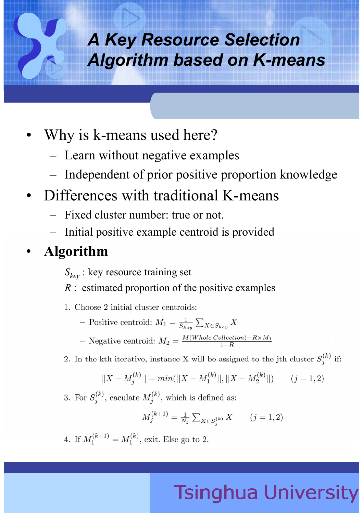### *A Key Resource Selection Algorithm based on K-means*

- Why is k-means used here?
	- Learn without negative examples
	- Independent of prior positive proportion knowledge
- Differences with traditional K-means
	- Fixed cluster number: true or not.
	- Initial positive example centroid is provided

#### • **Algorithm**

- *Skey* : key resource training set
- *R* : estimated proportion of the positive examples
- 1. Choose 2 initial cluster centroids:
	- Positive centroid:  $M_1 = \frac{1}{S_{key}} \sum_{X \in S_{key}} X$
	- Negative centroid:  $M_2 = \frac{M(Whole\, Collection) R \times M_1}{1-R}$
- 2. In the kth iterative, instance X will be assigned to the jth cluster  $S_i^{(k)}$  if:

$$
||X - M_j^{(k)}|| = min(||X - M_1^{(k)}||, ||X - M_2^{(k)}||)
$$
 (j = 1, 2)

3. For  $S_j^{(k)}$ , caculate  $M_j^{(k)}$ , which is defined as:

$$
M_j^{(k+1)} = \frac{1}{N_j} \sum_{X \in S_j^{(k)}} X \qquad (j = 1, 2)
$$

4. If  $M_1^{(k+1)} = M_1^{(k)}$ , exit. Else go to 2.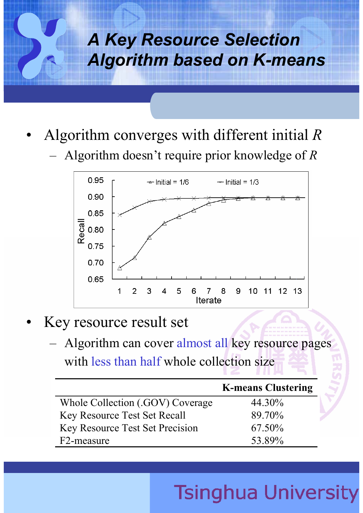### *A Key Resource Selection Algorithm based on K-means*

- Algorithm converges with different initial *R*
	- Algorithm doesn't require prior knowledge of *R*



- Key resource result set
	- Algorithm can cover almost all key resource pages with less than half whole collection size

|                                        | <b>K-means Clustering</b> |
|----------------------------------------|---------------------------|
| Whole Collection (.GOV) Coverage       | 44.30%                    |
| Key Resource Test Set Recall           | 89.70%                    |
| <b>Key Resource Test Set Precision</b> | 67.50%                    |
| F2-measure                             | 53.89%                    |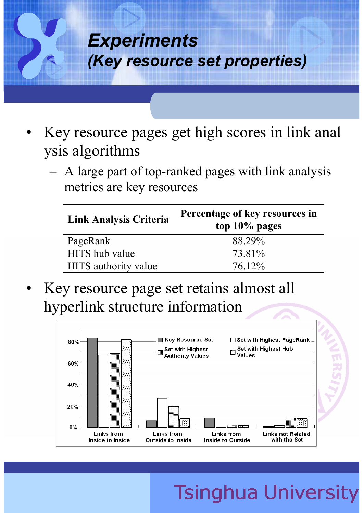

- Key resource pages get high scores in link anal ysis algorithms
	- A large part of top-ranked pages with link analysis metrics are key resources

| <b>Link Analysis Criteria</b> | Percentage of key resources in<br>top $10\%$ pages |
|-------------------------------|----------------------------------------------------|
| PageRank                      | 88 29%                                             |
| HITS hub value                | 73.81%                                             |
| HITS authority value          | 76.12%                                             |

Key resource page set retains almost all hyperlink structure information

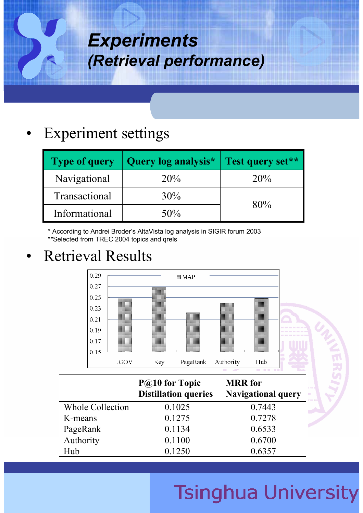### *Experiments (Retrieval performance)*

#### **Experiment settings**

| <b>Type of query</b> | Query log analysis* | Test query set** |  |
|----------------------|---------------------|------------------|--|
| Navigational         | 20%                 | 20%              |  |
| Transactional        | 30%                 |                  |  |
| Informational        | 50%                 | 80%              |  |

\* According to Andrei Broder's AltaVista log analysis in SIGIR forum 2003

\*\*Selected from TREC 2004 topics and qrels

### • Retrieval Results



|                         | $P@10$ for Topic<br><b>Distillation queries</b> | <b>MRR</b> for<br> g <br><b>Navigational query</b><br>$\mathcal{O}(\mathbb{R})$ |
|-------------------------|-------------------------------------------------|---------------------------------------------------------------------------------|
| <b>Whole Collection</b> | 0.1025                                          | 0.7443                                                                          |
| K-means                 | 0.1275                                          | 0.7278                                                                          |
| PageRank                | 0.1134                                          | D<br>0.6533                                                                     |
| Authority               | 0.1100                                          | 0.6700                                                                          |
| Hub                     | 0.1250                                          | 0.6357                                                                          |